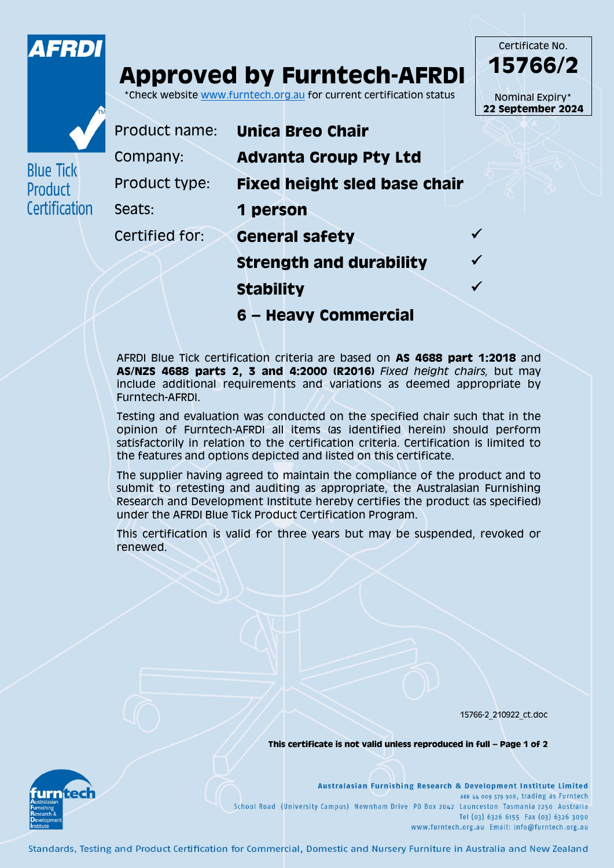

## **Approved by Furntech-AFRDI**

\*Check website [www.furntech.org.au](http://www.furntech.org.au/) for current certification status

Certificate No. **15766/2** Nominal Expiry\* **22 September 2024**



**Blue Tick** Product

Certification

| Product name:  | <b>Unica Breo Chair</b>             |  |
|----------------|-------------------------------------|--|
| Company:       | <b>Advanta Group Pty Ltd</b>        |  |
| Product type:  | <b>Fixed height sled base chair</b> |  |
| Seats:         | 1 person                            |  |
| Certified for: | <b>General safety</b>               |  |
|                | <b>Strength and durability</b>      |  |
|                |                                     |  |

**Stability**

**6 – Heavy Commercial**

AFRDI Blue Tick certification criteria are based on **AS 4688 part 1:2018** and **AS/NZS 4688 parts 2, 3 and 4:2000 (R2016)** *Fixed height chairs,* but may include additional requirements and variations as deemed appropriate by Furntech-AFRDI.

Testing and evaluation was conducted on the specified chair such that in the opinion of Furntech-AFRDI all items (as identified herein) should perform satisfactorily in relation to the certification criteria. Certification is limited to the features and options depicted and listed on this certificate.

The supplier having agreed to maintain the compliance of the product and to submit to retesting and auditing as appropriate, the Australasian Furnishing Research and Development Institute hereby certifies the product (as specified) under the AFRDI Blue Tick Product Certification Program.

This certification is valid for three years but may be suspended, revoked or renewed.

15766-2\_210922\_ct.doc

**This certificate is not valid unless reproduced in full – Page 1 of 2**



Australasian Furnishing Research & Development Institute Limited ABN 44 009 579 908, trading as Furntech School Road (University Campus) Newnham Drive PO Box 2042 Launceston Tasmania 7250 Australia Tel (03) 6326 6155 Fax (03) 6326 3090 www.furntech.org.au Email: info@furntech.org.au

Standards, Testing and Product Certification for Commercial, Domestic and Nursery Furniture in Australia and New Zealand